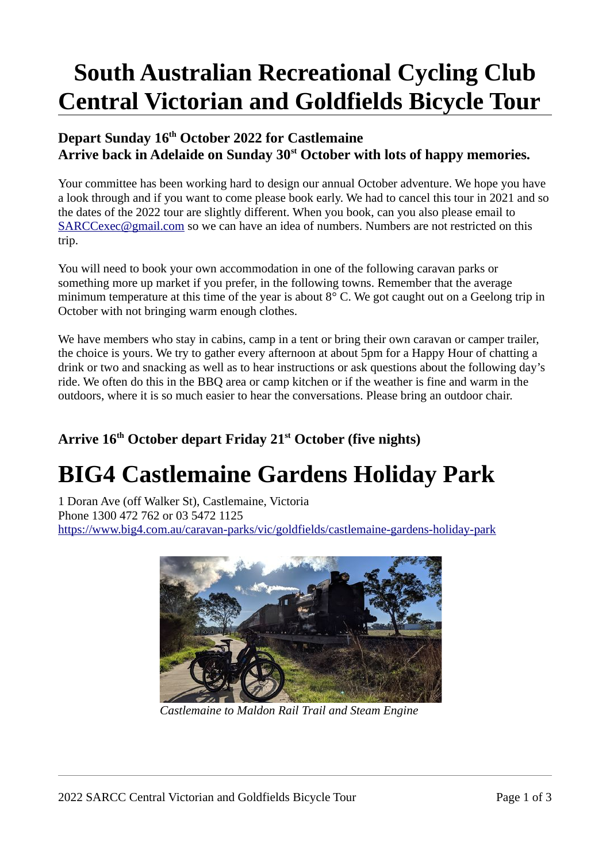# **South Australian Recreational Cycling Club Central Victorian and Goldfields Bicycle Tour**

#### **Depart Sunday 16 th October 2022 for Castlemaine Arrive back in Adelaide on Sunday 30st October with lots of happy memories.**

Your committee has been working hard to design our annual October adventure. We hope you have a look through and if you want to come please book early. We had to cancel this tour in 2021 and so the dates of the 2022 tour are slightly different. When you book, can you also please email to  $SARCCexec@gmail.com$  so we can have an idea of numbers. Numbers are not restricted on this trip.

You will need to book your own accommodation in one of the following caravan parks or something more up market if you prefer, in the following towns. Remember that the average minimum temperature at this time of the year is about 8° C. We got caught out on a Geelong trip in October with not bringing warm enough clothes.

We have members who stay in cabins, camp in a tent or bring their own caravan or camper trailer, the choice is yours. We try to gather every afternoon at about 5pm for a Happy Hour of chatting a drink or two and snacking as well as to hear instructions or ask questions about the following day's ride. We often do this in the BBQ area or camp kitchen or if the weather is fine and warm in the outdoors, where it is so much easier to hear the conversations. Please bring an outdoor chair.

### **Arrive 16th October depart Friday 21st October (five nights)**

### **BIG4 Castlemaine Gardens Holiday Park**

1 Doran Ave (off Walker St), Castlemaine, Victoria Phone 1300 472 762 or 03 5472 1125 <https://www.big4.com.au/caravan-parks/vic/goldfields/castlemaine-gardens-holiday-park>



*Castlemaine to Maldon Rail Trail and Steam Engine*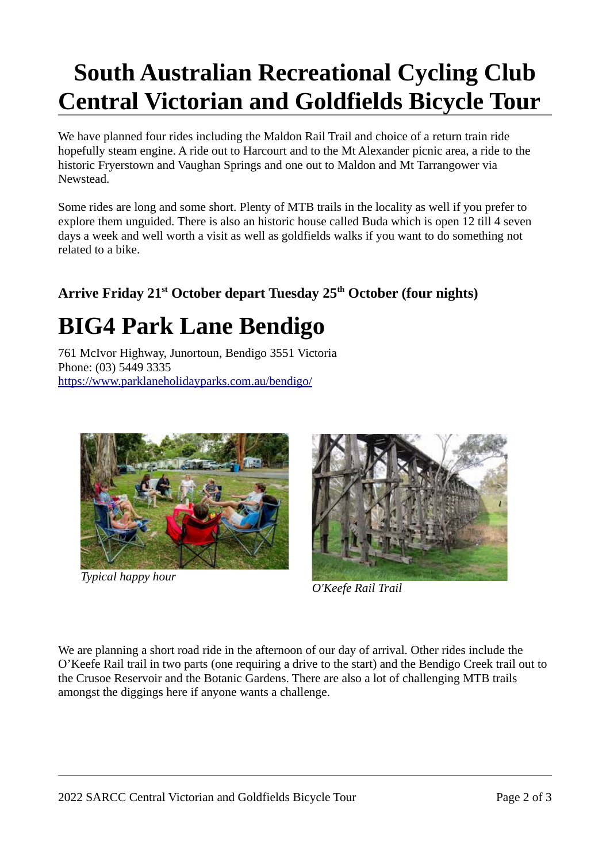# **South Australian Recreational Cycling Club Central Victorian and Goldfields Bicycle Tour**

We have planned four rides including the Maldon Rail Trail and choice of a return train ride hopefully steam engine. A ride out to Harcourt and to the Mt Alexander picnic area, a ride to the historic Fryerstown and Vaughan Springs and one out to Maldon and Mt Tarrangower via Newstead.

Some rides are long and some short. Plenty of MTB trails in the locality as well if you prefer to explore them unguided. There is also an historic house called Buda which is open 12 till 4 seven days a week and well worth a visit as well as goldfields walks if you want to do something not related to a bike.

### **Arrive Friday 21 st October depart Tuesday 25th October (four nights)**

### **BIG4 Park Lane Bendigo**

761 McIvor Highway, Junortoun, Bendigo 3551 Victoria Phone: (03) 5449 3335 <https://www.parklaneholidayparks.com.au/bendigo/>



*Typical happy hour*



*O'Keefe Rail Trail*

We are planning a short road ride in the afternoon of our day of arrival. Other rides include the O'Keefe Rail trail in two parts (one requiring a drive to the start) and the Bendigo Creek trail out to the Crusoe Reservoir and the Botanic Gardens. There are also a lot of challenging MTB trails amongst the diggings here if anyone wants a challenge.